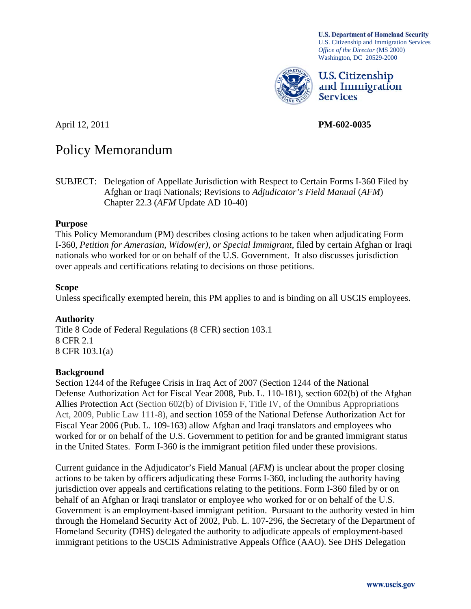**U.S. Department of Homeland Security** U.S. Citizenship and Immigration Services *Office of the Director* (MS 2000) Washington, DC 20529-2000



U.S. Citizenship and Immigration **Services** 

April 12, 2011 **PM-602-0035** 

# Policy Memorandum

SUBJECT: Delegation of Appellate Jurisdiction with Respect to Certain Forms I-360 Filed by Afghan or Iraqi Nationals; Revisions to *Adjudicator's Field Manual* (*AFM*) Chapter 22.3 (*AFM* Update AD 10-40)

### **Purpose**

This Policy Memorandum (PM) describes closing actions to be taken when adjudicating Form I-360, *Petition for Amerasian, Widow(er), or Special Immigrant*, filed by certain Afghan or Iraqi nationals who worked for or on behalf of the U.S. Government. It also discusses jurisdiction over appeals and certifications relating to decisions on those petitions.

### **Scope**

Unless specifically exempted herein, this PM applies to and is binding on all USCIS employees.

#### **Authority**

Title 8 Code of Federal Regulations (8 CFR) section 103.1 8 CFR 2.1 8 CFR 103.1(a)

# **Background**

Section 1244 of the Refugee Crisis in Iraq Act of 2007 (Section 1244 of the National Defense Authorization Act for Fiscal Year 2008, Pub. L. 110-181), section 602(b) of the Afghan Allies Protection Act (Section 602(b) of Division F, Title IV, of the Omnibus Appropriations Act, 2009, Public Law 111-8), and section 1059 of the National Defense Authorization Act for Fiscal Year 2006 (Pub. L. 109-163) allow Afghan and Iraqi translators and employees who worked for or on behalf of the U.S. Government to petition for and be granted immigrant status in the United States. Form I-360 is the immigrant petition filed under these provisions.

Current guidance in the Adjudicator's Field Manual (*AFM*) is unclear about the proper closing actions to be taken by officers adjudicating these Forms I-360, including the authority having jurisdiction over appeals and certifications relating to the petitions. Form I-360 filed by or on behalf of an Afghan or Iraqi translator or employee who worked for or on behalf of the U.S. Government is an employment-based immigrant petition. Pursuant to the authority vested in him through the Homeland Security Act of 2002, Pub. L. 107-296, the Secretary of the Department of Homeland Security (DHS) delegated the authority to adjudicate appeals of employment-based immigrant petitions to the USCIS Administrative Appeals Office (AAO). See DHS Delegation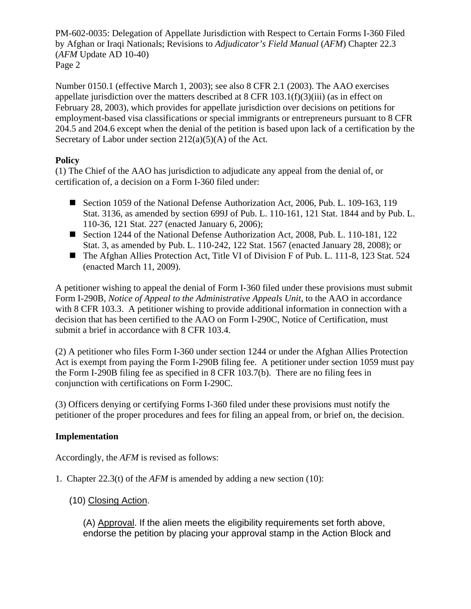PM-602-0035: Delegation of Appellate Jurisdiction with Respect to Certain Forms I-360 Filed by Afghan or Iraqi Nationals; Revisions to *Adjudicator's Field Manual* (*AFM*) Chapter 22.3 (*AFM* Update AD 10-40) Page 2

Number 0150.1 (effective March 1, 2003); see also 8 CFR 2.1 (2003). The AAO exercises appellate jurisdiction over the matters described at  $8$  CFR  $103.1(f)(3)(iii)$  (as in effect on February 28, 2003), which provides for appellate jurisdiction over decisions on petitions for employment-based visa classifications or special immigrants or entrepreneurs pursuant to [8 CFR](https://web2.westlaw.com/find/default.wl?tf=-1&rs=WLW10.06&fn=_top&sv=Split&docname=8CFRS204.5&tc=-1&pbc=C03C305F&ordoc=0347442859&findtype=L&db=1000547&vr=2.0&rp=%2ffind%2fdefault.wl&mt=296)  [204.5](https://web2.westlaw.com/find/default.wl?tf=-1&rs=WLW10.06&fn=_top&sv=Split&docname=8CFRS204.5&tc=-1&pbc=C03C305F&ordoc=0347442859&findtype=L&db=1000547&vr=2.0&rp=%2ffind%2fdefault.wl&mt=296) and [204.6](https://web2.westlaw.com/find/default.wl?tf=-1&rs=WLW10.06&fn=_top&sv=Split&docname=8CFRS204.6&tc=-1&pbc=C03C305F&ordoc=0347442859&findtype=L&db=1000547&vr=2.0&rp=%2ffind%2fdefault.wl&mt=296) except when the denial of the petition is based upon lack of a certification by the Secretary of Labor under section  $212(a)(5)(A)$  of the Act.

# **Policy**

(1) The Chief of the AAO has jurisdiction to adjudicate any appeal from the denial of, or certification of, a decision on a Form I-360 filed under:

- Section 1059 of the National Defense Authorization Act, 2006, Pub. L. 109-163, 119 Stat. 3136, as amended by section 699J of Pub. L. 110-161, 121 Stat. 1844 and by Pub. L. 110-36, 121 Stat. 227 (enacted January 6, 2006);
- Section 1244 of the National Defense Authorization Act, 2008, Pub. L. 110-181, 122 Stat. 3, as amended by Pub. L. 110-242, 122 Stat. 1567 (enacted January 28, 2008); or
- The Afghan Allies Protection Act, Title VI of Division F of Pub. L. 111-8, 123 Stat. 524 (enacted March 11, 2009).

A petitioner wishing to appeal the denial of Form I-360 filed under these provisions must submit Form I-290B, *Notice of Appeal to the Administrative Appeals Unit*, to the AAO in accordance with 8 CFR 103.3. A petitioner wishing to provide additional information in connection with a decision that has been certified to the AAO on Form I-290C, Notice of Certification, must submit a brief in accordance with 8 CFR 103.4.

(2) A petitioner who files Form I-360 under section 1244 or under the Afghan Allies Protection Act is exempt from paying the Form I-290B filing fee. A petitioner under section 1059 must pay the Form I-290B filing fee as specified in 8 CFR 103.7(b). There are no filing fees in conjunction with certifications on Form I-290C.

(3) Officers denying or certifying Forms I-360 filed under these provisions must notify the petitioner of the proper procedures and fees for filing an appeal from, or brief on, the decision.

# **Implementation**

Accordingly, the *AFM* is revised as follows:

- 1. Chapter 22.3(t) of the *AFM* is amended by adding a new section (10):
	- (10) Closing Action.

(A) Approval. If the alien meets the eligibility requirements set forth above, endorse the petition by placing your approval stamp in the Action Block and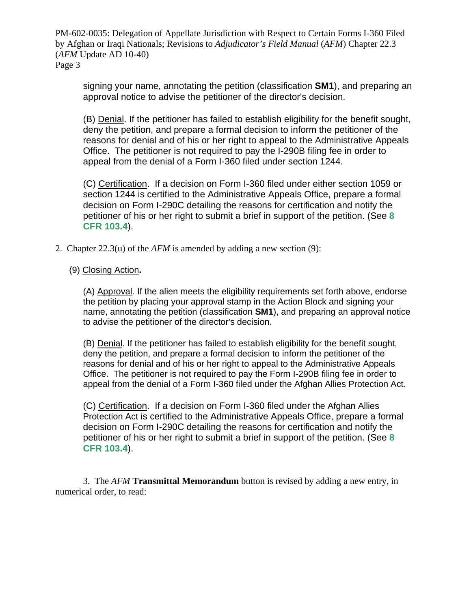PM-602-0035: Delegation of Appellate Jurisdiction with Respect to Certain Forms I-360 Filed by Afghan or Iraqi Nationals; Revisions to *Adjudicator's Field Manual* (*AFM*) Chapter 22.3 (*AFM* Update AD 10-40) Page 3

signing your name, annotating the petition (classification **SM1**), and preparing an approval notice to advise the petitioner of the director's decision.

(B) Denial. If the petitioner has failed to establish eligibility for the benefit sought, deny the petition, and prepare a formal decision to inform the petitioner of the reasons for denial and of his or her right to appeal to the Administrative Appeals Office. The petitioner is not required to pay the I-290B filing fee in order to appeal from the denial of a Form I-360 filed under section 1244.

(C) Certification. If a decision on Form I-360 filed under either section 1059 or section 1244 is certified to the Administrative Appeals Office, prepare a formal decision on Form I-290C detailing the reasons for certification and notify the petitioner of his or her right to submit a brief in support of the petition. (See **8 CFR 103.4**).

2. Chapter 22.3(u) of the *AFM* is amended by adding a new section (9):

### (9) Closing Action**.**

(A) Approval. If the alien meets the eligibility requirements set forth above, endorse the petition by placing your approval stamp in the Action Block and signing your name, annotating the petition (classification **SM1**), and preparing an approval notice to advise the petitioner of the director's decision.

(B) Denial. If the petitioner has failed to establish eligibility for the benefit sought, deny the petition, and prepare a formal decision to inform the petitioner of the reasons for denial and of his or her right to appeal to the Administrative Appeals Office. The petitioner is not required to pay the Form I-290B filing fee in order to appeal from the denial of a Form I-360 filed under the Afghan Allies Protection Act.

(C) Certification. If a decision on Form I-360 filed under the Afghan Allies Protection Act is certified to the Administrative Appeals Office, prepare a formal decision on Form I-290C detailing the reasons for certification and notify the petitioner of his or her right to submit a brief in support of the petition. (See **8 CFR 103.4**).

3. The *AFM* **Transmittal Memorandum** button is revised by adding a new entry, in numerical order, to read: